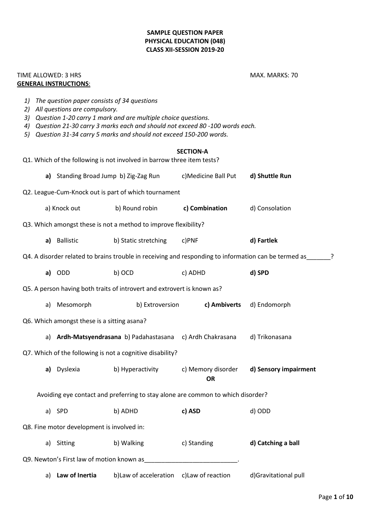## **SAMPLE QUESTION PAPER PHYSICAL EDUCATION (048) CLASS XII-SESSION 2019-20**

## TIME ALLOWED: 3 HRS MARKS: 70 **GENERAL INSTRUCTIONS**:

*1) The question paper consists of 34 questions*

*3) Question 1-20 carry 1 mark and are multiple choice questions.*

*2) All questions are compulsory.*

*4) Question 21-30 carry 3 marks each and should not exceed 80 -100 words each. 5) Question 31-34 carry 5 marks and should not exceed 150-200 words.* **SECTION-A** Q1. Which of the following is not involved in barrow three item tests? **a)** Standing Broad Jump b) Zig-Zag Run c)Medicine Ball Put **d) Shuttle Run** Q2. League-Cum-Knock out is part of which tournament a) Knock out b) Round robin **c) Combination** d) Consolation Q3. Which amongst these is not a method to improve flexibility? **a)** Ballistic b) Static stretching c)PNF **d) Fartlek**  Q4. A disorder related to brains trouble in receiving and responding to information can be termed as  $\overline{?}$ **a)** ODD b) OCD c) ADHD **d) SPD** Q5. A person having both traits of introvert and extrovert is known as? a) Mesomorph b) Extroversion **c) Ambiverts** d) Endomorph Q6. Which amongst these is a sitting asana? a) **Ardh-Matsyendrasana** b) Padahastasana c) Ardh Chakrasana d) Trikonasana Q7. Which of the following is not a cognitive disability? **a)** Dyslexia b) Hyperactivity c) Memory disorder **d) Sensory impairment OR** Avoiding eye contact and preferring to stay alone are common to which disorder? a) SPD b) ADHD **c) ASD** d) ODD Q8. Fine motor development is involved in: a) Sitting b) Walking c) Standing **d) Catching a ball** Q9. Newton's First law of motion known as

a) **Law of Inertia** b)Law of acceleration c)Law of reaction d)Gravitational pull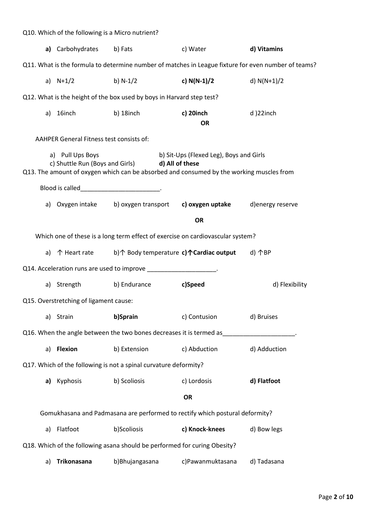| Q10. Which of the following is a Micro nutrient?                                                                                                                                                           |                                               |                                                                         |                        |                |
|------------------------------------------------------------------------------------------------------------------------------------------------------------------------------------------------------------|-----------------------------------------------|-------------------------------------------------------------------------|------------------------|----------------|
|                                                                                                                                                                                                            | a) Carbohydrates b) Fats                      |                                                                         | c) Water               | d) Vitamins    |
| Q11. What is the formula to determine number of matches in League fixture for even number of teams?                                                                                                        |                                               |                                                                         |                        |                |
|                                                                                                                                                                                                            | a) $N+1/2$                                    | b) N-1/2                                                                | c) $N(N-1)/2$          | d) $N(N+1)/2$  |
| Q12. What is the height of the box used by boys in Harvard step test?                                                                                                                                      |                                               |                                                                         |                        |                |
| a)                                                                                                                                                                                                         | 16inch                                        | b) 18inch                                                               | c) 20inch<br><b>OR</b> | d)22inch       |
| <b>AAHPER General Fitness test consists of:</b>                                                                                                                                                            |                                               |                                                                         |                        |                |
| a) Pull Ups Boys<br>b) Sit-Ups (Flexed Leg), Boys and Girls<br>c) Shuttle Run (Boys and Girls) d) All of these<br>Q13. The amount of oxygen which can be absorbed and consumed by the working muscles from |                                               |                                                                         |                        |                |
|                                                                                                                                                                                                            | Blood is called_____________________________. |                                                                         |                        |                |
|                                                                                                                                                                                                            |                                               | a) Oxygen intake b) oxygen transport c) oxygen uptake d) energy reserve |                        |                |
|                                                                                                                                                                                                            |                                               |                                                                         | <b>OR</b>              |                |
| Which one of these is a long term effect of exercise on cardiovascular system?                                                                                                                             |                                               |                                                                         |                        |                |
|                                                                                                                                                                                                            |                                               | a) 个 Heart rate b)个 Body temperature c)个Cardiac output                  |                        | d) 个BP         |
| Q14. Acceleration runs are used to improve ___________________.                                                                                                                                            |                                               |                                                                         |                        |                |
|                                                                                                                                                                                                            |                                               | a) Strength b) Endurance c)Speed                                        |                        | d) Flexibility |
| Q15. Overstretching of ligament cause:                                                                                                                                                                     |                                               |                                                                         |                        |                |
| a)                                                                                                                                                                                                         | Strain                                        | b)Sprain                                                                | c) Contusion           | d) Bruises     |
| Q16. When the angle between the two bones decreases it is termed as                                                                                                                                        |                                               |                                                                         |                        |                |
| a)                                                                                                                                                                                                         | <b>Flexion</b>                                | b) Extension                                                            | c) Abduction           | d) Adduction   |
| Q17. Which of the following is not a spinal curvature deformity?                                                                                                                                           |                                               |                                                                         |                        |                |
| a)                                                                                                                                                                                                         | Kyphosis                                      | b) Scoliosis                                                            | c) Lordosis            | d) Flatfoot    |
|                                                                                                                                                                                                            |                                               |                                                                         | <b>OR</b>              |                |
| Gomukhasana and Padmasana are performed to rectify which postural deformity?                                                                                                                               |                                               |                                                                         |                        |                |
| a)                                                                                                                                                                                                         | Flatfoot                                      | b)Scoliosis                                                             | c) Knock-knees         | d) Bow legs    |
| Q18. Which of the following asana should be performed for curing Obesity?                                                                                                                                  |                                               |                                                                         |                        |                |
| a)                                                                                                                                                                                                         | Trikonasana                                   | b)Bhujangasana                                                          | c)Pawanmuktasana       | d) Tadasana    |
|                                                                                                                                                                                                            |                                               |                                                                         |                        |                |